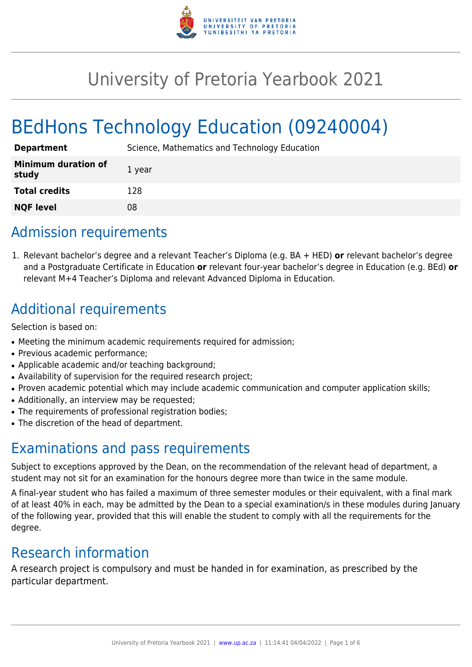

# University of Pretoria Yearbook 2021

# BEdHons Technology Education (09240004)

| <b>Department</b>                   | Science, Mathematics and Technology Education |
|-------------------------------------|-----------------------------------------------|
| <b>Minimum duration of</b><br>study | 1 year                                        |
| <b>Total credits</b>                | 128                                           |
| <b>NQF level</b>                    | 08                                            |

# Admission requirements

1. Relevant bachelor's degree and a relevant Teacher's Diploma (e.g. BA + HED) **or** relevant bachelor's degree and a Postgraduate Certificate in Education **or** relevant four-year bachelor's degree in Education (e.g. BEd) **or** relevant M+4 Teacher's Diploma and relevant Advanced Diploma in Education.

# Additional requirements

Selection is based on:

- Meeting the minimum academic requirements required for admission;
- Previous academic performance:
- Applicable academic and/or teaching background;
- Availability of supervision for the required research project;
- Proven academic potential which may include academic communication and computer application skills;
- Additionally, an interview may be requested;
- The requirements of professional registration bodies;
- The discretion of the head of department.

## Examinations and pass requirements

Subject to exceptions approved by the Dean, on the recommendation of the relevant head of department, a student may not sit for an examination for the honours degree more than twice in the same module.

A final-year student who has failed a maximum of three semester modules or their equivalent, with a final mark of at least 40% in each, may be admitted by the Dean to a special examination/s in these modules during January of the following year, provided that this will enable the student to comply with all the requirements for the degree.

### Research information

A research project is compulsory and must be handed in for examination, as prescribed by the particular department.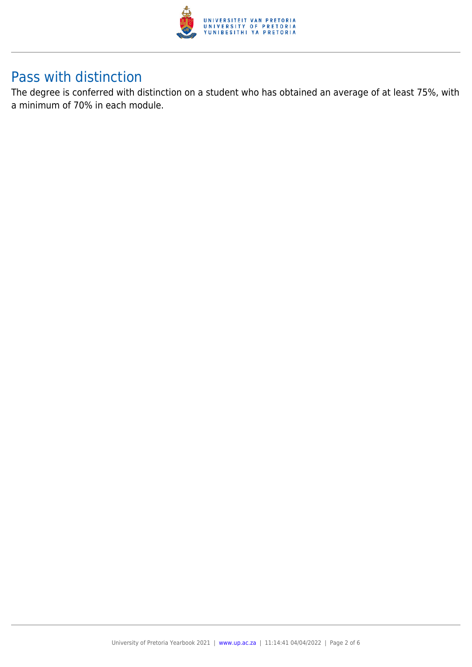

### Pass with distinction

The degree is conferred with distinction on a student who has obtained an average of at least 75%, with a minimum of 70% in each module.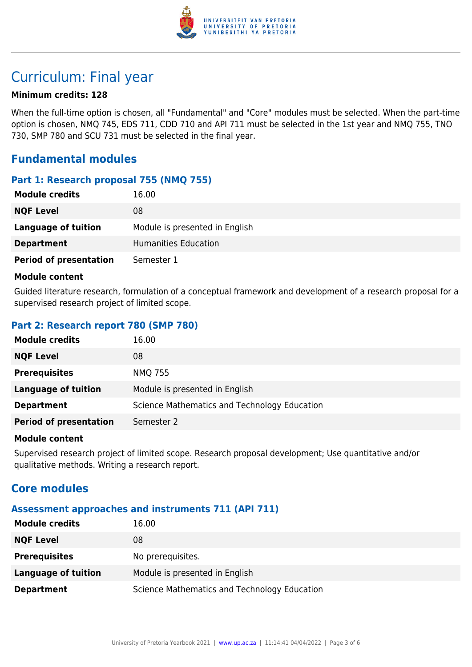

# Curriculum: Final year

#### **Minimum credits: 128**

When the full-time option is chosen, all "Fundamental" and "Core" modules must be selected. When the part-time option is chosen, NMQ 745, EDS 711, CDD 710 and API 711 must be selected in the 1st year and NMQ 755, TNO 730, SMP 780 and SCU 731 must be selected in the final year.

### **Fundamental modules**

#### **Part 1: Research proposal 755 (NMQ 755)**

| <b>Module credits</b>         | 16.00                          |
|-------------------------------|--------------------------------|
| <b>NQF Level</b>              | 08                             |
| Language of tuition           | Module is presented in English |
| <b>Department</b>             | Humanities Education           |
| <b>Period of presentation</b> | Semester 1                     |

#### **Module content**

Guided literature research, formulation of a conceptual framework and development of a research proposal for a supervised research project of limited scope.

#### **Part 2: Research report 780 (SMP 780)**

| <b>Module credits</b>         | 16.00                                        |
|-------------------------------|----------------------------------------------|
| <b>NQF Level</b>              | 08                                           |
| <b>Prerequisites</b>          | <b>NMQ 755</b>                               |
| <b>Language of tuition</b>    | Module is presented in English               |
| <b>Department</b>             | Science Mathematics and Technology Education |
| <b>Period of presentation</b> | Semester 2                                   |

#### **Module content**

Supervised research project of limited scope. Research proposal development; Use quantitative and/or qualitative methods. Writing a research report.

### **Core modules**

#### **Assessment approaches and instruments 711 (API 711)**

| <b>Module credits</b> | 16.00                                        |
|-----------------------|----------------------------------------------|
| <b>NQF Level</b>      | 08                                           |
| <b>Prerequisites</b>  | No prerequisites.                            |
| Language of tuition   | Module is presented in English               |
| <b>Department</b>     | Science Mathematics and Technology Education |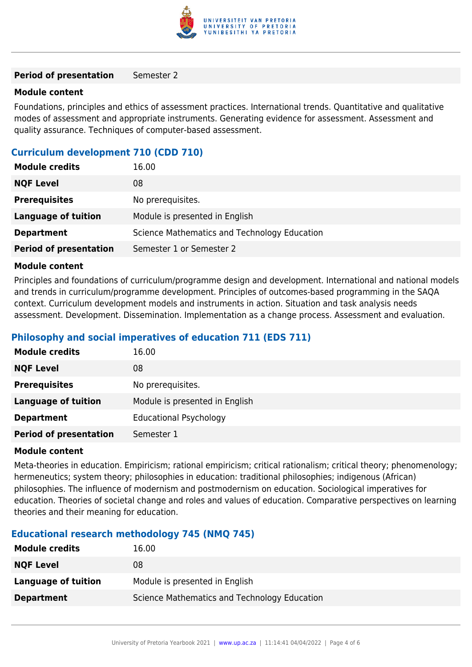

#### **Period of presentation** Semester 2

#### **Module content**

Foundations, principles and ethics of assessment practices. International trends. Quantitative and qualitative modes of assessment and appropriate instruments. Generating evidence for assessment. Assessment and quality assurance. Techniques of computer-based assessment.

#### **Curriculum development 710 (CDD 710)**

| <b>Module credits</b>         | 16.00                                        |
|-------------------------------|----------------------------------------------|
| <b>NQF Level</b>              | 08                                           |
| <b>Prerequisites</b>          | No prerequisites.                            |
| Language of tuition           | Module is presented in English               |
| <b>Department</b>             | Science Mathematics and Technology Education |
| <b>Period of presentation</b> | Semester 1 or Semester 2                     |

#### **Module content**

Principles and foundations of curriculum/programme design and development. International and national models and trends in curriculum/programme development. Principles of outcomes-based programming in the SAQA context. Curriculum development models and instruments in action. Situation and task analysis needs assessment. Development. Dissemination. Implementation as a change process. Assessment and evaluation.

#### **Philosophy and social imperatives of education 711 (EDS 711)**

| <b>Module credits</b>         | 16.00                          |
|-------------------------------|--------------------------------|
| <b>NQF Level</b>              | 08                             |
| <b>Prerequisites</b>          | No prerequisites.              |
| <b>Language of tuition</b>    | Module is presented in English |
| <b>Department</b>             | <b>Educational Psychology</b>  |
| <b>Period of presentation</b> | Semester 1                     |

#### **Module content**

Meta-theories in education. Empiricism; rational empiricism; critical rationalism; critical theory; phenomenology; hermeneutics; system theory; philosophies in education: traditional philosophies; indigenous (African) philosophies. The influence of modernism and postmodernism on education. Sociological imperatives for education. Theories of societal change and roles and values of education. Comparative perspectives on learning theories and their meaning for education.

#### **Educational research methodology 745 (NMQ 745)**

| <b>Module credits</b> | 16.00                                        |
|-----------------------|----------------------------------------------|
| <b>NQF Level</b>      | 08                                           |
| Language of tuition   | Module is presented in English               |
| <b>Department</b>     | Science Mathematics and Technology Education |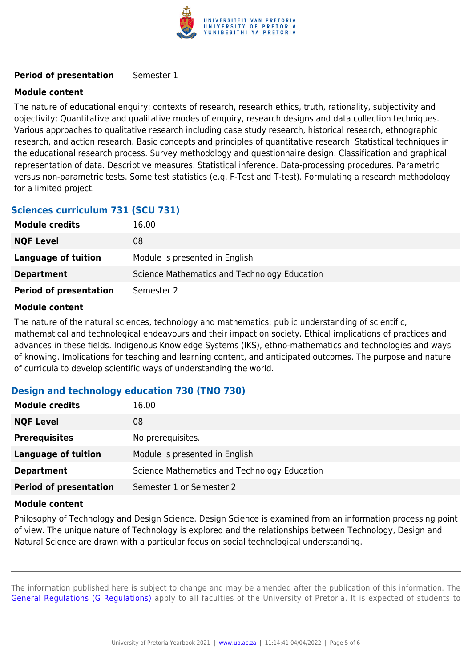

#### **Period of presentation** Semester 1

#### **Module content**

The nature of educational enquiry: contexts of research, research ethics, truth, rationality, subjectivity and objectivity; Quantitative and qualitative modes of enquiry, research designs and data collection techniques. Various approaches to qualitative research including case study research, historical research, ethnographic research, and action research. Basic concepts and principles of quantitative research. Statistical techniques in the educational research process. Survey methodology and questionnaire design. Classification and graphical representation of data. Descriptive measures. Statistical inference. Data-processing procedures. Parametric versus non-parametric tests. Some test statistics (e.g. F-Test and T-test). Formulating a research methodology for a limited project.

### **Sciences curriculum 731 (SCU 731)**

| <b>Module credits</b>         | 16.00                                        |
|-------------------------------|----------------------------------------------|
| <b>NQF Level</b>              | 08                                           |
| Language of tuition           | Module is presented in English               |
| <b>Department</b>             | Science Mathematics and Technology Education |
| <b>Period of presentation</b> | Semester 2                                   |

#### **Module content**

The nature of the natural sciences, technology and mathematics: public understanding of scientific, mathematical and technological endeavours and their impact on society. Ethical implications of practices and advances in these fields. Indigenous Knowledge Systems (IKS), ethno-mathematics and technologies and ways of knowing. Implications for teaching and learning content, and anticipated outcomes. The purpose and nature of curricula to develop scientific ways of understanding the world.

### **Design and technology education 730 (TNO 730)**

| <b>Module credits</b>         | 16.00                                        |
|-------------------------------|----------------------------------------------|
| <b>NQF Level</b>              | 08                                           |
| <b>Prerequisites</b>          | No prerequisites.                            |
| <b>Language of tuition</b>    | Module is presented in English               |
| <b>Department</b>             | Science Mathematics and Technology Education |
| <b>Period of presentation</b> | Semester 1 or Semester 2                     |

#### **Module content**

Philosophy of Technology and Design Science. Design Science is examined from an information processing point of view. The unique nature of Technology is explored and the relationships between Technology, Design and Natural Science are drawn with a particular focus on social technological understanding.

The information published here is subject to change and may be amended after the publication of this information. The [General Regulations \(G Regulations\)](https://www.up.ac.za/yearbooks/2021/rules/view/REG) apply to all faculties of the University of Pretoria. It is expected of students to